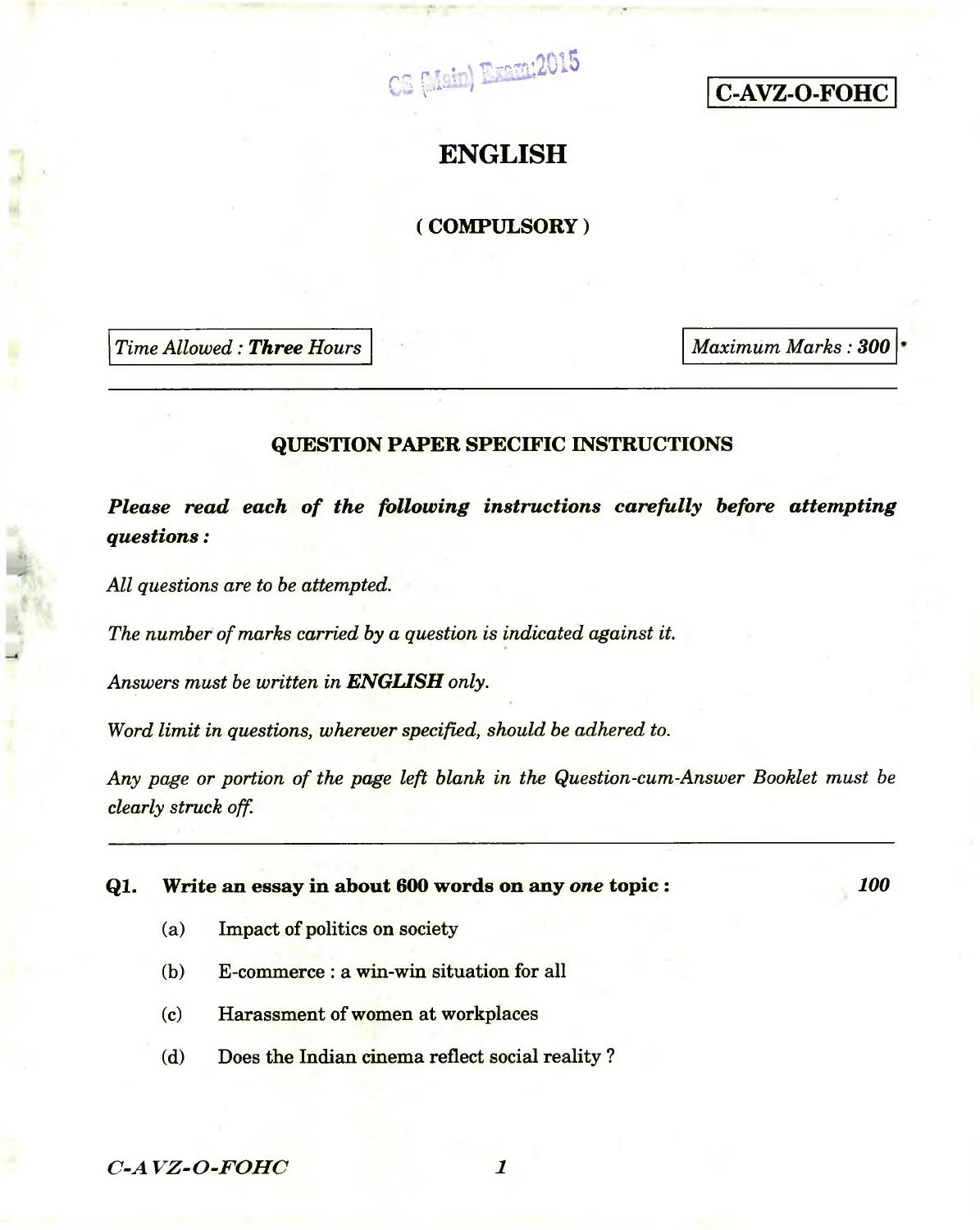$CB \{$ ianding p<sub>rem</sub>.2015



# **ENGLISH**

# **( COMPULSORY)**

*Time Allowed: Three Hours Maximum Marks: 300* 

## **QUESTION PAPER SPECIFIC INSTRUCTIONS**

*Please read each of the following instructions carefully before attempting questions:*

*All questions are to be attempted.*

*The number of marks carried by a question is indicated against it.*

*Answers must be written in ENGLISH only.*

*Word limit in questions, wherever specified, should be adhered to.*

*Any page or portion of the page left blank in the Question-cum-Answer Booklet must be clearly struck off.*

**Ql. Write an essay in about 600 words on any** *one* **topic :**

*100*

- (a) Impact of politics on society
- (b) E-commerce : a win-win situation for all
- (c) Harassment of women at workplaces
- (d) Does the Indian cinema reflect social reality ?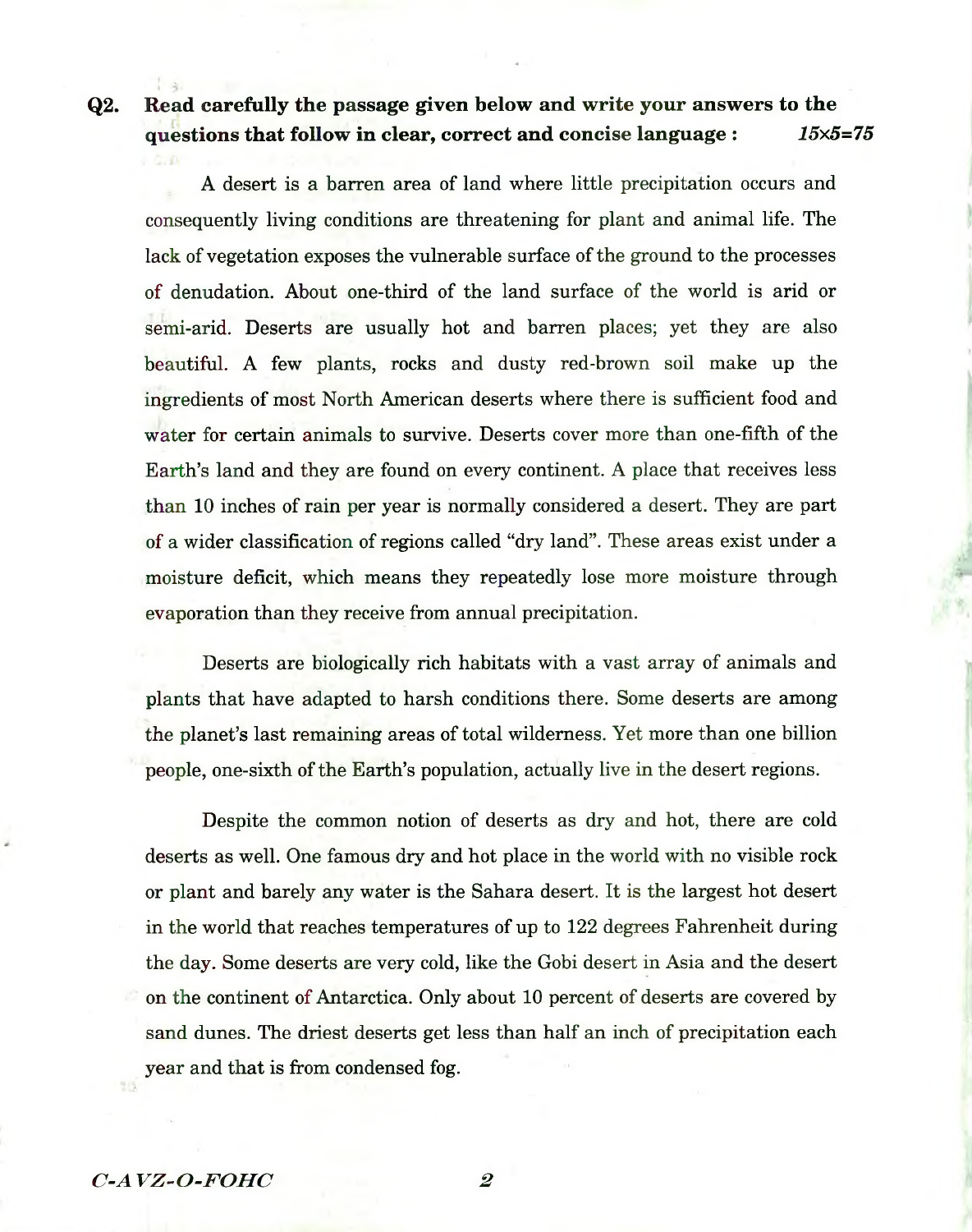**Q2. Read carefully the passage given below and write your answers to the questions that follow in clear, correct and concise language :** *15x5=75*

A desert is a barren area of land where little precipitation occurs and consequently living conditions are threatening for plant and animal life. The lack of vegetation exposes the vulnerable surface of the ground to the processes of denudation. About one-third of the land surface of the world is arid or semi-arid. Deserts are usually hot and barren places; yet they are also beautiful. A few plants, rocks and dusty red-brown soil make up the ingredients of most North American deserts where there is sufficient food and water for certain animals to survive. Deserts cover more than one-fifth of the Earth's land and they are found on every continent. A place that receives less than 10 inches of rain per year is normally considered a desert. They are part of a wider classification of regions called "dry land". These areas exist under a moisture deficit, which means they repeatedly lose more moisture through evaporation than they receive from annual precipitation.

Deserts are biologically rich habitats with a vast array of animals and plants that have adapted to harsh conditions there. Some deserts are among the planet's last remaining areas of total wilderness. Yet more than one billion people, one-sixth of the Earth's population, actually live in the desert regions.

Despite the common notion of deserts as dry and hot, there are cold deserts as well. One famous dry and hot place in the world with no visible rock or plant and barely any water is the Sahara desert. It is the largest hot desert in the world that reaches temperatures of up to 122 degrees Fahrenheit during the day. Some deserts are very cold, like the Gobi desert in Asia and the desert on the continent of Antarctica. Only about 10 percent of deserts are covered by sand dunes. The driest deserts get less than half an inch of precipitation each year and that is from condensed fog.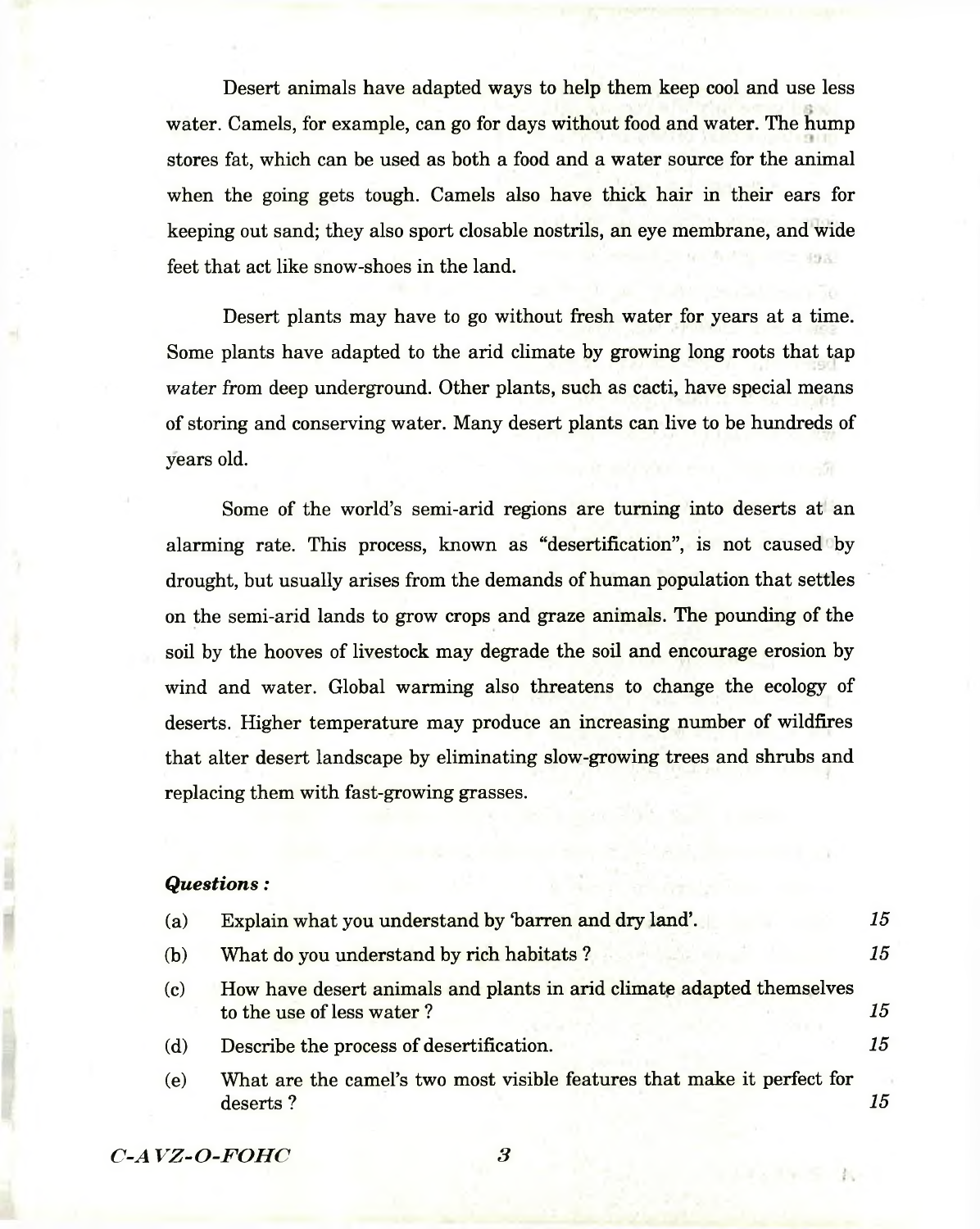Desert animals have adapted ways to help them keep cool and use less  $\overline{a}$ water. Camels, for example, can go for days without food and water. The hump stores fat, which can be used as both a food and a water source for the animal when the going gets tough. Camels also have thick hair in their ears for keeping out sand; they also sport closable nostrils, an eye membrane, and wide feet that act like snow-shoes in the land.

Desert plants may have to go without fresh water for years at a time. Some plants have adapted to the arid climate by growing long roots that tap *water* from deep underground. Other plants, such as cacti, have special means of storing and conserving water. Many desert plants can live to be hundreds of years old.

Some of the world's semi-arid regions are turning into deserts at an alarming rate. This process, known as "desertification", is not caused by drought, but usually arises from the demands of human population that settles on the semi-arid lands to grow crops and graze animals. The pounding of the soil by the hooves of livestock may degrade the soil and encourage erosion by wind and water. Global warming also threatens to change the ecology of deserts. Higher temperature may produce an increasing number of wildfires that alter desert landscape by eliminating slow-growing trees and shrubs and replacing them with fast-growing grasses.

# *Questions:*

| (a) | Explain what you understand by 'barren and dry land'.                                              | 15 |
|-----|----------------------------------------------------------------------------------------------------|----|
| (b) | What do you understand by rich habitats?                                                           | 15 |
| (c) | How have desert animals and plants in arid climate adapted themselves<br>to the use of less water? | 15 |
| (d) | Describe the process of desertification.                                                           | 15 |
| (e) | What are the camel's two most visible features that make it perfect for<br>deserts?                | 15 |

*C-A VZ-O -FO H C 3*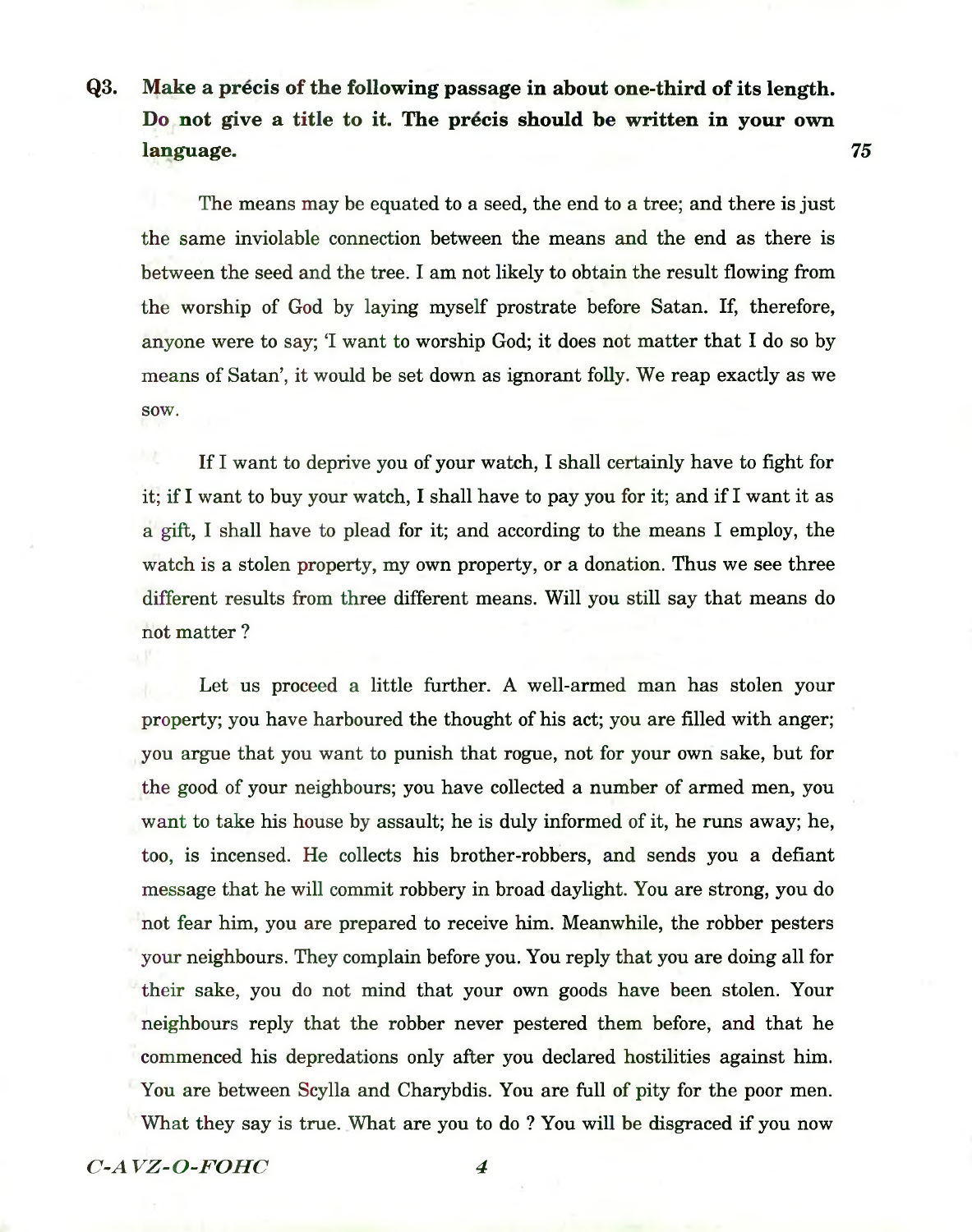# **Q3. Make a precis of the following passage in about one-third of its length. Do not give a title to it. The precis should be written in your own language. 75**

The means may be equated to a seed, the end to a tree; and there is just the same inviolable connection between the means and the end as there is between the seed and the tree. I am not likely to obtain the result flowing from the worship of God by laying myself prostrate before Satan. If, therefore, anyone were to say; 'I want to worship God; it does not matter that I do so by means of Satan', it would be set down as ignorant folly. We reap exactly as we sow.

If I want to deprive you of your watch, I shall certainly have to fight for it; if I want to buy your watch, I shall have to pay you for it; and if I want it as a gift, I shall have to plead for it; and according to the means I employ, the watch is a stolen property, my own property, or a donation. Thus we see three different results from three different means. Will you still say that means do not matter ?

Let us proceed a little further. A well-armed man has stolen your property; you have harboured the thought of his act; you are filled with anger; you argue that you want to punish that rogue, not for your own sake, but for the good of your neighbours; you have collected a number of armed men, you want to take his house by assault; he is duly informed of it, he runs away; he, too, is incensed. He collects his brother-robbers, and sends you a defiant message that he will commit robbery in broad daylight. You are strong, you do not fear him, you are prepared to receive him. Meanwhile, the robber pesters your neighbours. They complain before you. You reply that you are doing all for their sake, you do not mind that your own goods have been stolen. Your neighbours reply that the robber never pestered them before, and that he commenced his depredations only after you declared hostilities against him. You are between Scylla and Charybdis. You are full of pity for the poor men. What they say is true. What are you to do ? You will be disgraced if you now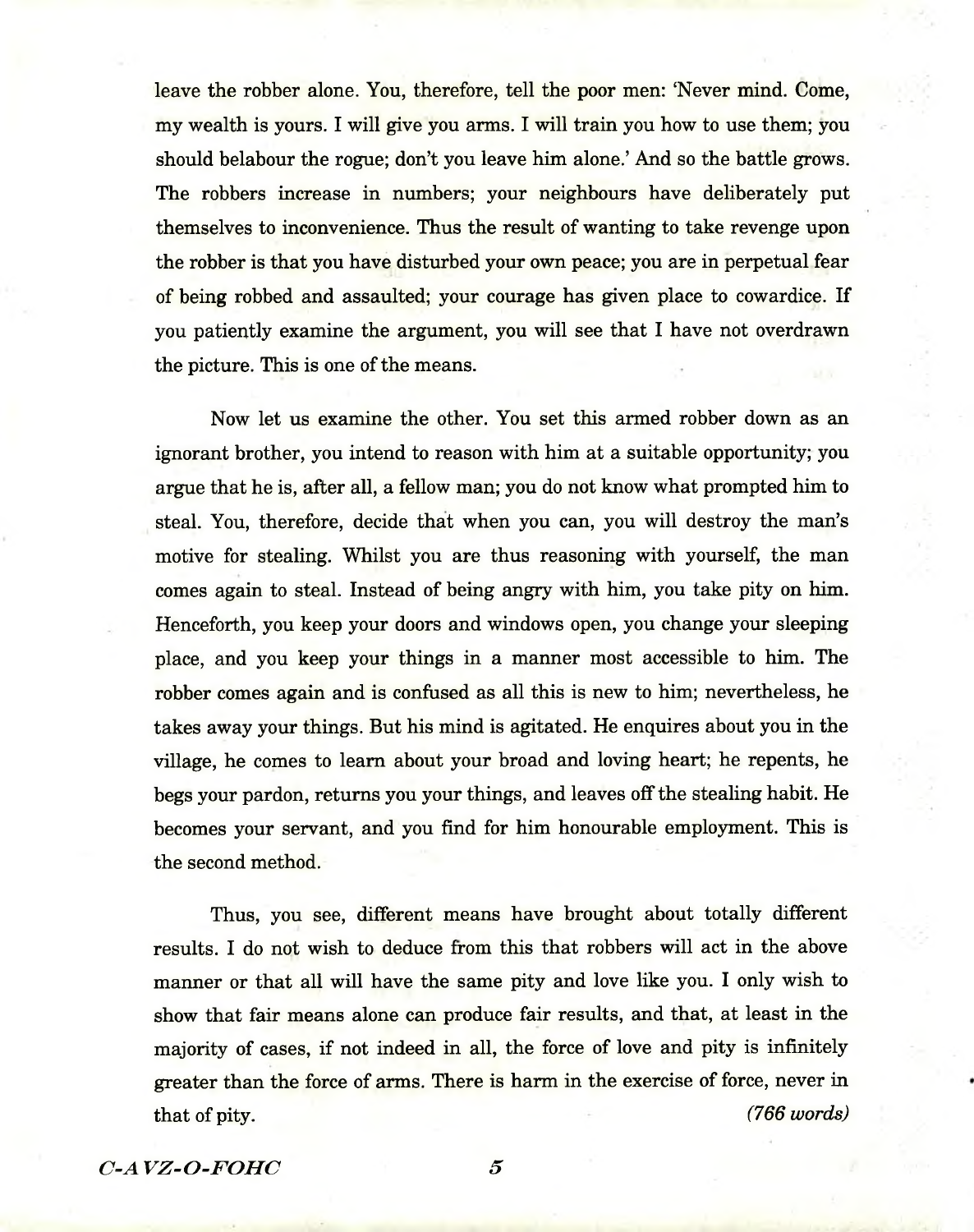leave the robber alone. You, therefore, tell the poor men: 'Never mind. Come, my wealth is yours. I will give you arms. I will train you how to use them; you should belabour the rogue; don't you leave him alone.' And so the battle grows. The robbers increase in numbers; your neighbours have deliberately put themselves to inconvenience. Thus the result of wanting to take revenge upon the robber is that you have disturbed your own peace; you are in perpetual fear of being robbed and assaulted; your courage has given place to cowardice. If you patiently examine the argument, you will see that I have not overdrawn the picture. This is one of the means.

Now let us examine the other. You set this armed robber down as an ignorant brother, you intend to reason with him at a suitable opportunity; you argue that he is, after all, a fellow man; you do not know what prompted him to steal. You, therefore, decide that when you can, you will destroy the man's motive for stealing. Whilst you are thus reasoning with yourself, the man comes again to steal. Instead of being angry with him, you take pity on him. Henceforth, you keep your doors and windows open, you change your sleeping place, and you keep your things in a manner most accessible to him. The robber comes again and is confused as all this is new to him; nevertheless, he takes away your things. But his mind is agitated. He enquires about you in the village, he comes to learn about your broad and loving heart; he repents, he begs your pardon, returns you your things, and leaves off the stealing habit. He becomes your servant, and you find for him honourable employment. This is the second method.

Thus, you see, different means have brought about totally different results. I do not wish to deduce from this that robbers will act in the above manner or that all will have the same pity and love like you. I only wish to show that fair means alone can produce fair results, and that, at least in the majority of cases, if not indeed in all, the force of love and pity is infinitely greater than the force of arms. There is harm in the exercise of force, never in that of pity. *(766 words)*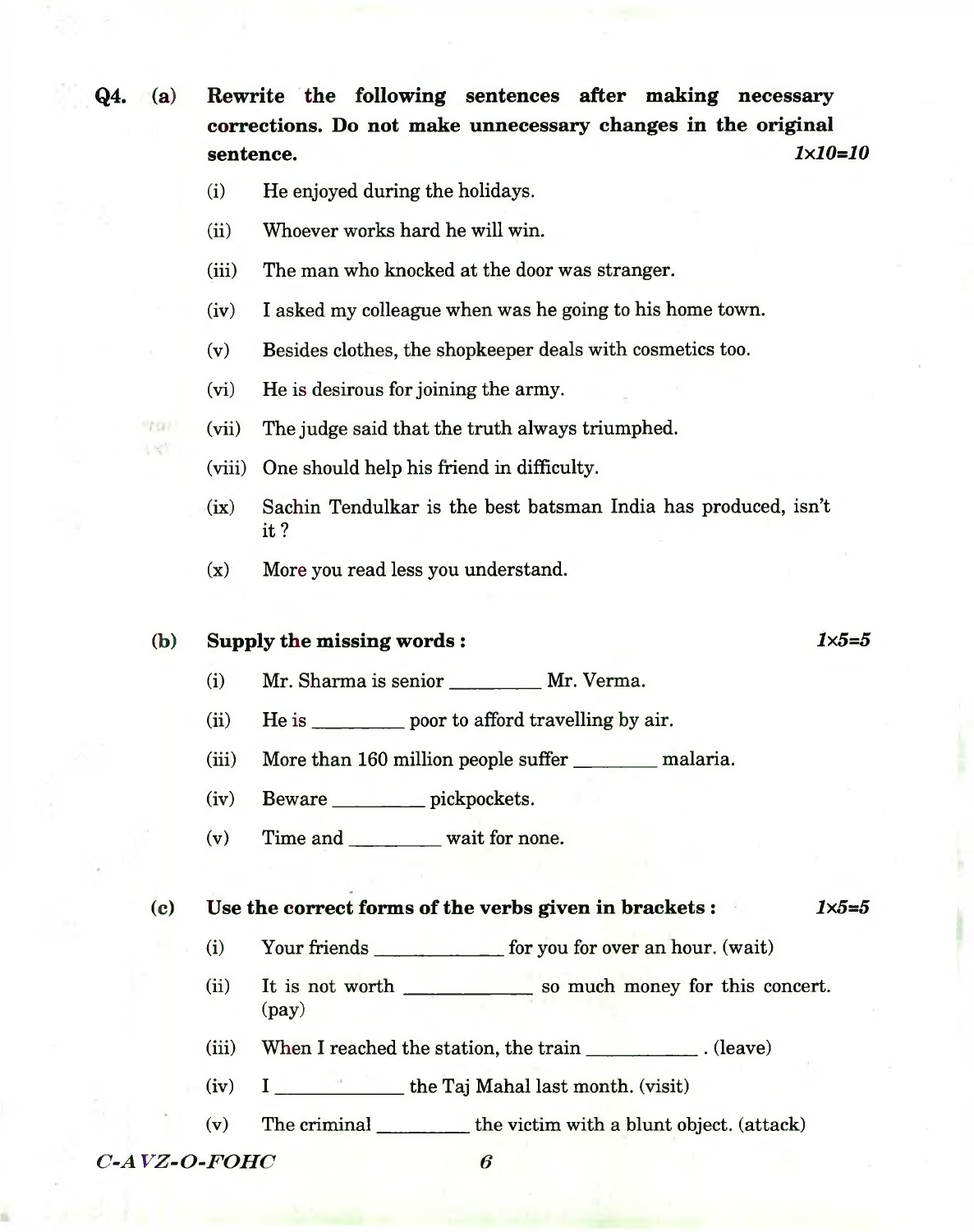**Q4. (a) Rewrite the following sentences after making necessary corrections. Do not make unnecessary changes in the original sentence.** *1x10=10*

- (i) He enjoyed during the holidays.
- (ii) Whoever works hard he will win.
- (iii) The man who knocked at the door was stranger.
- (iv) I asked my colleague when was he going to his home town.
- (v) Besides clothes, the shopkeeper deals with cosmetics too.
- (vi) He is desirous for joining the army.
- (vii) The judge said that the truth always triumphed.
- (viii) One should help his friend in difficulty.
- (ix) Sachin Tendulkar is the best batsman India has produced, isn't it?
- (x) More you read less you understand.

# **(b) Supply the missing words :** *1x5=5*

- (i) Mr. Sharma is senior\_\_\_\_\_\_\_\_\_ Mr. Verma.
- (ii) He is \_\_\_\_\_\_\_\_\_\_\_ poor to afford travelling by air.
- (iii) More than 160 million people suffer \_\_\_\_\_\_\_\_\_\_\_ malaria.
- (iv) Beware\_\_\_\_\_\_\_\_\_\_ pickpockets.
- (v) Time and\_\_\_\_\_\_\_\_\_\_wait for none.

### **(c) Use the correct forms of the verbs given in brackets :** *1x5=5*

- (i) Your friends \_\_\_\_\_\_\_\_\_\_\_\_\_ for you for over an hour. (wait)
- (ii) It is not worth \_\_\_\_\_\_\_\_\_\_\_\_\_\_\_ so much money for this concert. (pay)
- (iii) When I reached the station, the train \_\_\_\_\_\_\_\_\_\_\_\_\_. (leave)
- (iv) I \_\_\_\_\_\_\_\_\_\_\_\_\_\_\_ the Taj Mahal last month, (visit)
- (v) The criminal\_\_\_\_\_\_\_\_\_\_the victim with a blunt object, (attack)

*C*-*AVZ*-*O-FOHC* 6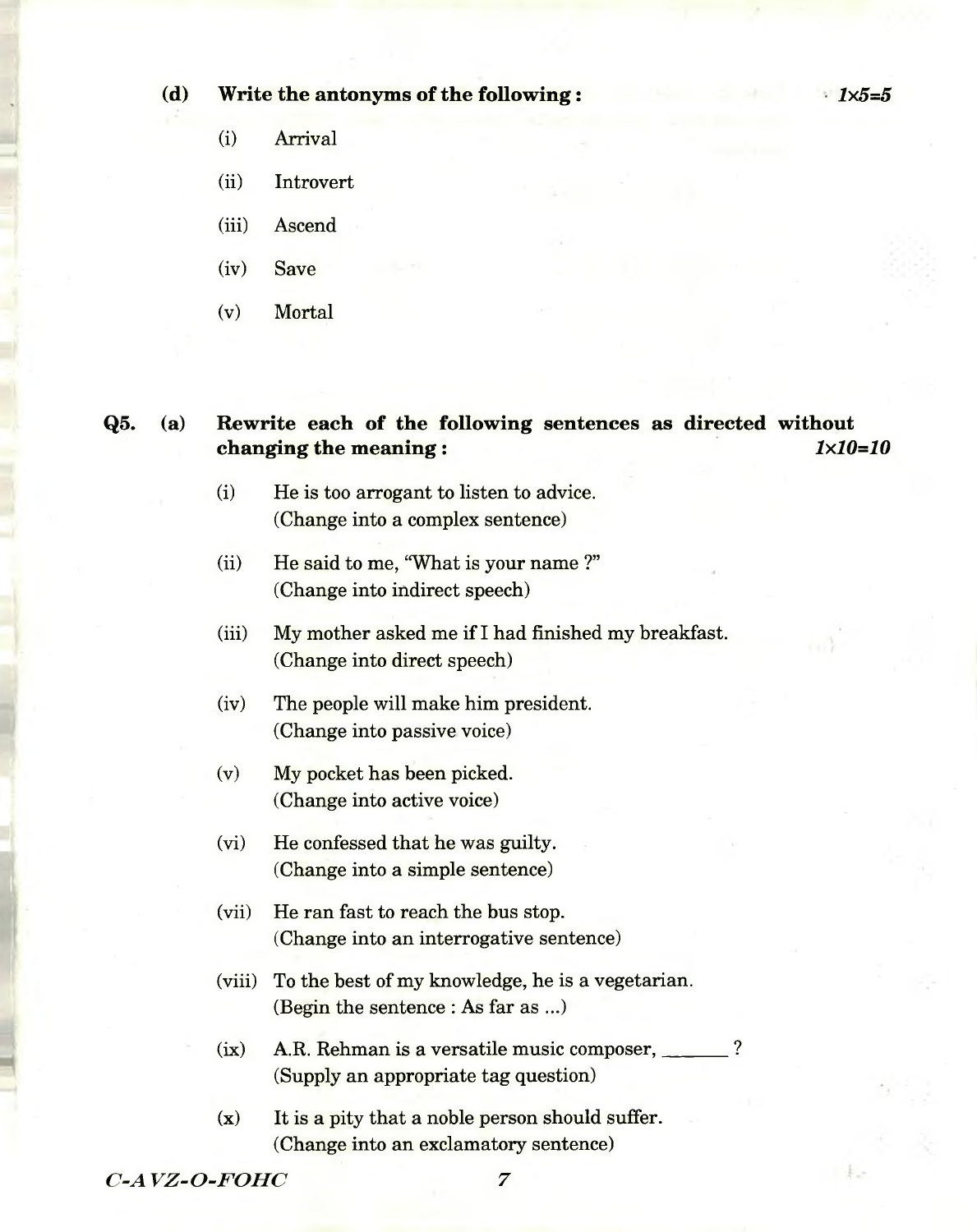## **(d) Write the antonyms of the following: •** *1x5=5*

- (i) Arrival
- (ii) Introvert
- (iii) Ascend
- (iv) Save
- (v) Mortal

# **Q5. (a) Rewrite each of the following sentences as directed without changing the meaning :** *1x10=10*

- (i) He is too arrogant to listen to advice. (Change into a complex sentence)
- (ii) He said to me, "What is your name ?" (Change into indirect speech)
- (iii) My mother asked me if I had finished my breakfast. (Change into direct speech)
- (iv) The people will make him president. (Change into passive voice)
- (v) My pocket has been picked. (Change into active voice)
- (vi) He confessed that he was guilty. (Change into a simple sentence)
- (vii) He ran fast to reach the bus stop. (Change into an interrogative sentence)
- (viii) To the best of my knowledge, he is a vegetarian. (Begin the sentence : As far as ...)
- $(ix)$  A.R. Rehman is a versatile music composer,  $\sim$ (Supply an appropriate tag question)
- (x) It is a pity that a noble person should suffer. (Change into an exclamatory sentence)

*C-AVZ-O-FOHC* 7